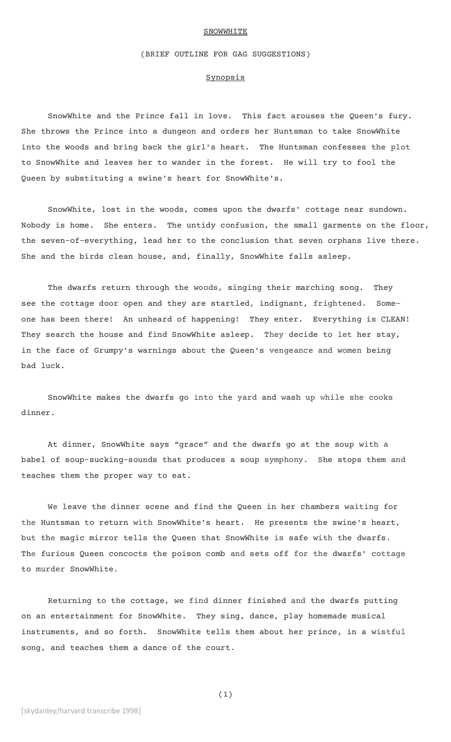#### **SNOWWHITE**

## (BRIEF OUTLINE FOR GAG SUGGESTIONS)

### **Synopsis**

SnowWhite and the Prince fall in love. This fact arouses the Queen's fury. She throws the Prince into a dungeon and orders her Huntsman to take SnowWhite into the woods and bring back the girl's heart. The Huntsman confesses the plot to SnowWhite and leaves her to wander in the forest. He will try to fool the Queen by substituting a swine's heart for SnowWhite's.

SnowWhite, lost in the woods, comes upon the dwarfs' cottage near sundown. Nobody is home. She enters. The untidy confusion, the small garments on the floor, the seven-of-everything, lead her to the conclusion that seven orphans live there. She and the birds clean house, and, finally, SnowWhite falls asleep.

The dwarfs return through the woods, singing their marching song. They see the cottage door open and they are startled, indignant, frightened. Someone has been there! An unheard of happening! They enter. Everything is CLEAN! They search the house and find SnowWhite asleep. They decide to let her stay, in the face of Grumpy's warnings about the Queen's vengeance and women being bad luck.

SnowWhite makes the dwarfs go into the yard and wash up while she cooks dinner.

At dinner, SnowWhite says "grace" and the dwarfs go at the soup with a babel of soup-sucking-sounds that produces a soup symphony. She stops them and teaches them the proper way to eat.

We leave the dinner scene and find the Queen in her chambers waiting for the Huntsman to return with SnowWhite's heart. He presents the swine's heart, but the magic mirror tells the Queen that SnowWhite is safe with the dwarfs. The furious Queen concocts the poison comb and sets off for the dwarfs' cottage to murder SnowWhite.

Returning to the cottage, we find dinner finished and the dwarfs putting on an entertainment for SnowWhite. They sing, dance, play homemade musical instruments, and so forth. SnowWhite tells them about her prince, in a wistful song, and teaches them a dance of the court.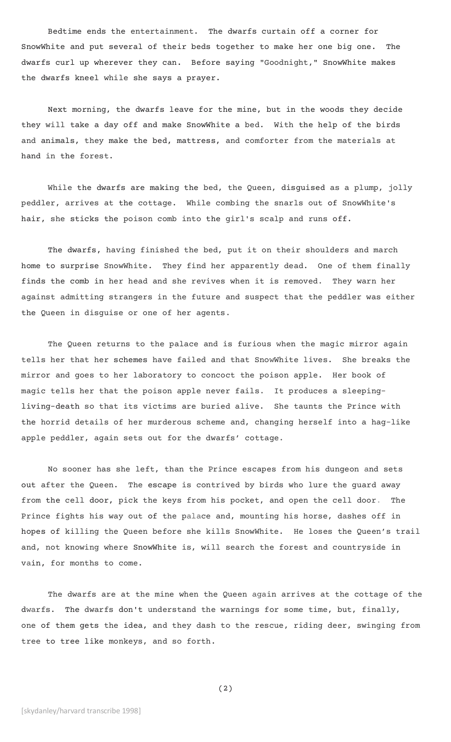Bedtime ends the entertainment. The dwarfs curtain off a corner for SnowWhite and put several of their beds together to make her one big one. The dwarfs curl up wherever they can. Before saying "Goodnight," SnowWhite makes the dwarfs kneel while she says a prayer.

Next morning, the dwarfs leave for the mine, but in the woods they decide they will take a day off and make SnowWhite a bed. With the help of the birds and animals, they make the bed, mattress, and comforter from the materials at hand in the forest.

While the dwarfs are making the bed, the Queen, disguised as a plump, jolly peddler, arrives at the cottage. While combing the snarls out of SnowWhite's hair, she sticks the poison comb into the girl's scalp and runs off.

The dwarfs, having finished the bed, put it on their shoulders and march home to surprise SnowWhite. They find her apparently dead. One of them finally finds the comb in her head and she revives when it is removed. They warn her against admitting strangers in the future and suspect that the peddler was either the Queen in disguise or one of her agents.

The Queen returns to the palace and is furious when the magic mirror again tells her that her schemes have failed and that SnowWhite lives. She breaks the mirror and goes to her laboratory to concoct the poison apple. Her book of magic tells her that the poison apple never fails. It produces a sleepingliving-death so that its victims are buried alive. She taunts the Prince with the horrid details of her murderous scheme and, changing herself into a hag-like apple peddler, again sets out for the dwarfs' cottage.

No sooner has she left, than the Prince escapes from his dungeon and sets out after the Queen. The escape is contrived by birds who lure the guard away from the cell door, pick the keys from his pocket, and open the cell door. The Prince fights his way out of the palace and, mounting his horse, dashes off in hopes of killing the Queen before she kills SnowWhite. He loses the Queen's trail and, not knowing where SnowWhite is, will search the forest and countryside in vain, for months to come.

The dwarfs are at the mine when the Queen again arrives at the cottage of the dwarfs. The dwarfs don't understand the warnings for some time, but, finally, one of them gets the idea, and they dash to the rescue, riding deer, swinging from tree to tree like monkeys, and so forth.

(2)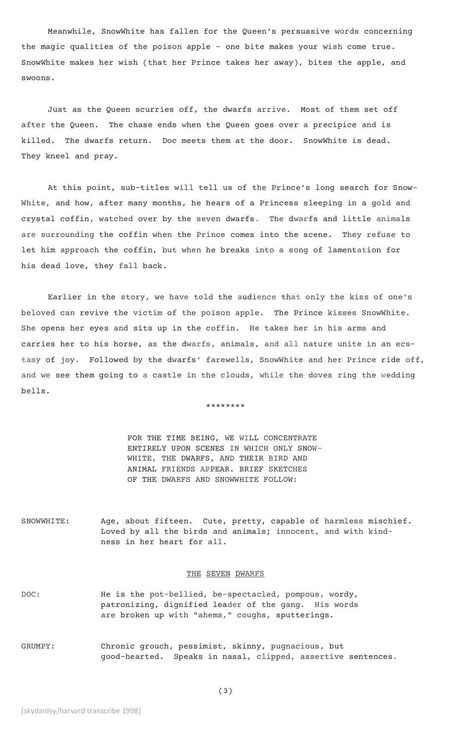Meanwhile, SnowWhite has fallen for the Queen's persuasive words concerning the magic qualities of the poison apple – one bite makes your wish come true. SnowWhite makes her wish (that her Prince takes her away), bites the apple, and swoons.

Just as the Queen scurries off, the dwarfs arrive. Most of them set off after the Queen. The chase ends when the Queen goes over a precipice and is killed. The dwarfs return. Doc meets them at the door. SnowWhite is dead. They kneel and pray.

At this point, sub-titles will tell us of the Prince's long search for Snow-White, and how, after many months, he hears of a Princess sleeping in a gold and crystal coffin, watched over by the seven dwarfs. The dwarfs and little animals are surrounding the coffin when the Prince comes into the scene. They refuse to let him approach the coffin, but when he breaks into a song of lamentation for his dead love, they fall back.

Earlier in the story, we have told the audience that only the kiss of one's beloved can revive the victim of the poison apple. The Prince kisses SnowWhite. She opens her eyes and sits up in the coffin. He takes her in his arms and carries her to his horse, as the dwarfs, animals, and all nature unite in an ecstasy of joy. Followed by the dwarfs' farewells, SnowWhite and her Prince ride off, and we see them going to a castle in the clouds, while the doves ring the wedding bells.

\*\*\*\*\*\*\*\*

FOR THE TIME BEING, WE WILL CONCENTRATE ENTIRELY UPON SCENES IN WHICH ONLY SNOW-WHITE, THE DWARFS, AND THEIR BIRD AND ANIMAL FRIENDS APPEAR. BRIEF SKETCHES OF THE DWARFS AND SNOWWHITE FOLLOW:

SNOWWHITE: Age, about fifteen. Cute, pretty, capable of harmless mischief. Loved by all the birds and animals; innocent, and with kindness in her heart for all.

### THE SEVEN DWARFS

- DOC: He is the pot-bellied, be-spectacled, pompous, wordy, patronizing, dignified leader of the gang. His words are broken up with "ahems," coughs, sputterings.
- GRUMPY: Chronic grouch, pessimist, skinny, pugnacious, but good-hearted. Speaks in nasal, clipped, assertive sentences.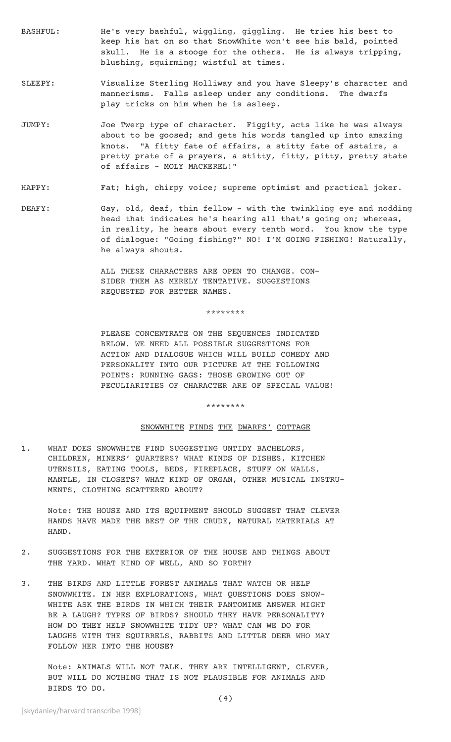- BASHFUL: He's very bashful, wiggling, giggling. He tries his best to keep his hat on so that SnowWhite won't see his bald, pointed skull. He is a stooge for the others. He is always tripping, blushing, squirming; wistful at times.
- SLEEPY: Visualize Sterling Holliway and you have Sleepy's character and mannerisms. Falls asleep under any conditions. The dwarfs play tricks on him when he is asleep.
- JUMPY: Joe Twerp type of character. Figgity, acts like he was always about to be goosed; and gets his words tangled up into amazing knots. "A fitty fate of affairs, a stitty fate of astairs, a pretty prate of a prayers, a stitty, fitty, pitty, pretty state of affairs - MOLY MACKEREL!"

# HAPPY: Fat; high, chirpy voice; supreme optimist and practical joker.

DEAFY: Gay, old, deaf, thin fellow - with the twinkling eye and nodding head that indicates he's hearing all that's going on; whereas, in reality, he hears about every tenth word. You know the type of dialogue: "Going fishing?" NO! I'M GOING FISHING! Naturally, he always shouts.

> ALL THESE CHARACTERS ARE OPEN TO CHANGE. CON-SIDER THEM AS MERELY TENTATIVE. SUGGESTIONS REQUESTED FOR BETTER NAMES.

> > \*\*\*\*\*\*\*\*

PLEASE CONCENTRATE ON THE SEQUENCES INDICATED BELOW. WE NEED ALL POSSIBLE SUGGESTIONS FOR ACTION AND DIALOGUE WHICH WILL BUILD COMEDY AND PERSONALITY INTO OUR PICTURE AT THE FOLLOWING POINTS: RUNNING GAGS: THOSE GROWING OUT OF PECULIARITIES OF CHARACTER ARE OF SPECIAL VALUE!

\*\*\*\*\*\*\*\*

### SNOWWHITE FINDS THE DWARFS' COTTAGE

1. WHAT DOES SNOWWHITE FIND SUGGESTING UNTIDY BACHELORS, CHILDREN, MINERS' QUARTERS? WHAT KINDS OF DISHES, KITCHEN UTENSILS, EATING TOOLS, BEDS, FIREPLACE, STUFF ON WALLS, MANTLE, IN CLOSETS? WHAT KIND OF ORGAN, OTHER MUSICAL INSTRU-MENTS, CLOTHING SCATTERED ABOUT?

Note: THE HOUSE AND ITS EQUIPMENT SHOULD SUGGEST THAT CLEVER HANDS HAVE MADE THE BEST OF THE CRUDE, NATURAL MATERIALS AT HAND.

- 2. SUGGESTIONS FOR THE EXTERIOR OF THE HOUSE AND THINGS ABOUT THE YARD. WHAT KIND OF WELL, AND SO FORTH?
- 3. THE BIRDS AND LITTLE FOREST ANIMALS THAT WATCH OR HELP SNOWWHITE. IN HER EXPLORATIONS, WHAT QUESTIONS DOES SNOW-WHITE ASK THE BIRDS IN WHICH THEIR PANTOMIME ANSWER MIGHT BE A LAUGH? TYPES OF BIRDS? SHOULD THEY HAVE PERSONALITY? HOW DO THEY HELP SNOWWHITE TIDY UP? WHAT CAN WE DO FOR LAUGHS WITH THE SQUIRRELS, RABBITS AND LITTLE DEER WHO MAY FOLLOW HER INTO THE HOUSE?

Note: ANIMALS WILL NOT TALK. THEY ARE INTELLIGENT, CLEVER, BUT WILL DO NOTHING THAT IS NOT PLAUSIBLE FOR ANIMALS AND BIRDS TO DO.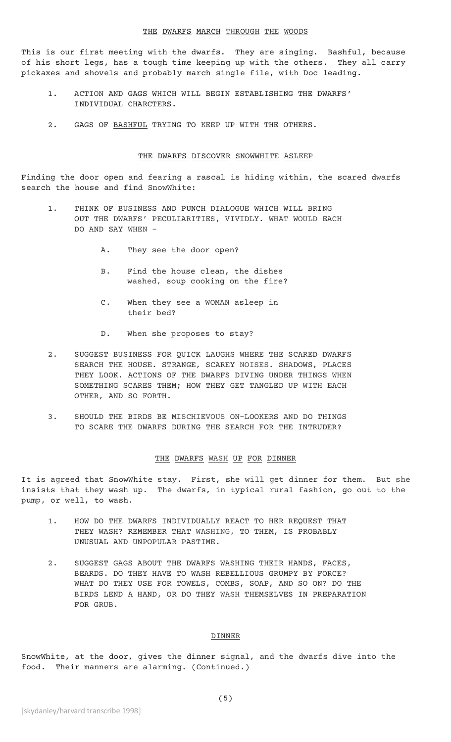This is our first meeting with the dwarfs. They are singing. Bashful, because of his short legs, has a tough time keeping up with the others. They all carry pickaxes and shovels and probably march single file, with Doc leading.

- 1. ACTION AND GAGS WHICH WILL BEGIN ESTABLISHING THE DWARFS' INDIVIDUAL CHARCTERS.
- 2. GAGS OF BASHFUL TRYING TO KEEP UP WITH THE OTHERS.

# THE DWARFS DISCOVER SNOWWHITE ASLEEP

Finding the door open and fearing a rascal is hiding within, the scared dwarfs search the house and find SnowWhite:

- 1. THINK OF BUSINESS AND PUNCH DIALOGUE WHICH WILL BRING OUT THE DWARFS' PECULIARITIES, VIVIDLY. WHAT WOULD EACH DO AND SAY WHEN -
	- A. They see the door open?
	- B. Find the house clean, the dishes washed, soup cooking on the fire?
	- C. When they see a WOMAN asleep in their bed?
	- D. When she proposes to stay?
- 2. SUGGEST BUSINESS FOR QUICK LAUGHS WHERE THE SCARED DWARFS SEARCH THE HOUSE. STRANGE, SCAREY NOISES. SHADOWS, PLACES THEY LOOK. ACTIONS OF THE DWARFS DIVING UNDER THINGS WHEN SOMETHING SCARES THEM; HOW THEY GET TANGLED UP WITH EACH OTHER, AND SO FORTH.
- 3. SHOULD THE BIRDS BE MISCHIEVOUS ON-LOOKERS AND DO THINGS TO SCARE THE DWARFS DURING THE SEARCH FOR THE INTRUDER?

### THE DWARFS WASH UP FOR DINNER

It is agreed that SnowWhite stay. First, she will get dinner for them. But she insists that they wash up. The dwarfs, in typical rural fashion, go out to the pump, or well, to wash.

- 1. HOW DO THE DWARFS INDIVIDUALLY REACT TO HER REQUEST THAT THEY WASH? REMEMBER THAT WASHING, TO THEM, IS PROBABLY UNUSUAL AND UNPOPULAR PASTIME.
- 2. SUGGEST GAGS ABOUT THE DWARFS WASHING THEIR HANDS, FACES, BEARDS. DO THEY HAVE TO WASH REBELLIOUS GRUMPY BY FORCE? WHAT DO THEY USE FOR TOWELS, COMBS, SOAP, AND SO ON? DO THE BIRDS LEND A HAND, OR DO THEY WASH THEMSELVES IN PREPARATION FOR GRUB.

# DINNER

SnowWhite, at the door, gives the dinner signal, and the dwarfs dive into the food. Their manners are alarming. (Continued.)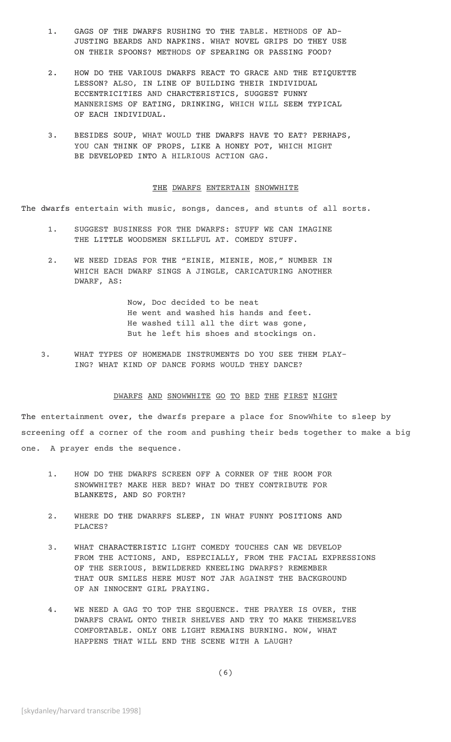- 1. GAGS OF THE DWARFS RUSHING TO THE TABLE. METHODS OF AD-JUSTING BEARDS AND NAPKINS. WHAT NOVEL GRIPS DO THEY USE ON THEIR SPOONS? METHODS OF SPEARING OR PASSING FOOD?
- 2. HOW DO THE VARIOUS DWARFS REACT TO GRACE AND THE ETIQUETTE LESSON? ALSO, IN LINE OF BUILDING THEIR INDIVIDUAL ECCENTRICITIES AND CHARCTERISTICS, SUGGEST FUNNY MANNERISMS OF EATING, DRINKING, WHICH WILL SEEM TYPICAL OF EACH INDIVIDUAL.
- 3. BESIDES SOUP, WHAT WOULD THE DWARFS HAVE TO EAT? PERHAPS, YOU CAN THINK OF PROPS, LIKE A HONEY POT, WHICH MIGHT BE DEVELOPED INTO A HILRIOUS ACTION GAG.

### THE DWARFS ENTERTAIN SNOWWHITE

The dwarfs entertain with music, songs, dances, and stunts of all sorts.

- 1. SUGGEST BUSINESS FOR THE DWARFS: STUFF WE CAN IMAGINE THE LITTLE WOODSMEN SKILLFUL AT. COMEDY STUFF.
- 2. WE NEED IDEAS FOR THE "EINIE, MIENIE, MOE," NUMBER IN WHICH EACH DWARF SINGS A JINGLE, CARICATURING ANOTHER DWARF, AS:

Now, Doc decided to be neat He went and washed his hands and feet. He washed till all the dirt was gone, But he left his shoes and stockings on.

 3. WHAT TYPES OF HOMEMADE INSTRUMENTS DO YOU SEE THEM PLAY-ING? WHAT KIND OF DANCE FORMS WOULD THEY DANCE?

### DWARFS AND SNOWWHITE GO TO BED THE FIRST NIGHT

The entertainment over, the dwarfs prepare a place for SnowWhite to sleep by screening off a corner of the room and pushing their beds together to make a big one. A prayer ends the sequence.

- 1. HOW DO THE DWARFS SCREEN OFF A CORNER OF THE ROOM FOR SNOWWHITE? MAKE HER BED? WHAT DO THEY CONTRIBUTE FOR BLANKETS, AND SO FORTH?
- 2. WHERE DO THE DWARRFS SLEEP, IN WHAT FUNNY POSITIONS AND PLACES?
- 3. WHAT CHARACTERISTIC LIGHT COMEDY TOUCHES CAN WE DEVELOP FROM THE ACTIONS, AND, ESPECIALLY, FROM THE FACIAL EXPRESSIONS OF THE SERIOUS, BEWILDERED KNEELING DWARFS? REMEMBER THAT OUR SMILES HERE MUST NOT JAR AGAINST THE BACKGROUND OF AN INNOCENT GIRL PRAYING.
- 4. WE NEED A GAG TO TOP THE SEQUENCE. THE PRAYER IS OVER, THE DWARFS CRAWL ONTO THEIR SHELVES AND TRY TO MAKE THEMSELVES COMFORTABLE. ONLY ONE LIGHT REMAINS BURNING. NOW, WHAT HAPPENS THAT WILL END THE SCENE WITH A LAUGH?